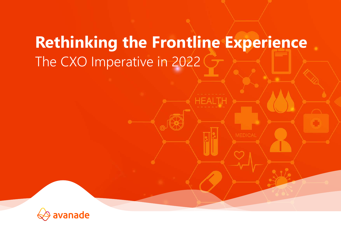# **Rethinking the Frontline Experience** The CXO Imperative in 2022

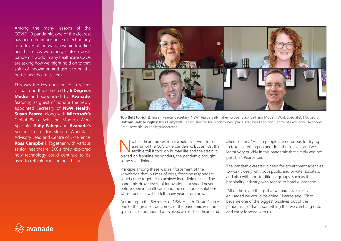Among the many lessons of the COVID-19 pandemic, one of the clearest has been the importance of technology as a driver of innovation within frontline healthcare. As we emerge into a postpandemic world, many healthcare CXOs are asking how we might hold on to that spirit of innovation and use it to build a better healthcare system.

This was the key question for a recent virtual roundtable hosted by **6 Degrees Media** and supported by **Avanade**, featuring as guest of honour the newly appointed Secretary of **NSW Health**, **Susan Pearce**, along with **Microsoft's** Global Black Belt and Modern Work Specialist **Sally Fahey** and **Avanade's**  Senior Director for Modern Workplace Advisory Lead and Centre of Excellence, **Ross Campbell**. Together with various senior healthcare CXOs they explored how technology could continue to be used to rethink frontline healthcare.





**Top (left to right):** Susan Pearce, Secretary, NSW Health; Sally Fahey, Global Black Belt and Modern Work Specialist, Microsoft. **Bottom (left to right):** Ross Campbell, Senior Director for Modern Workplace Advisory Lead and Centre of Excellence, Avanade; Brad Howarth, Journalist/Moderator.

**No healthcare professional would ever wish to see**<br>a rerun of the COVID-19 pandemic, but amidst the<br>terrible toll it took on human life and the strain it<br>placed on frontline responders the pandemic brought a rerun of the COVID-19 pandemic, but amidst the placed on frontline responders, the pandemic brought some silver linings.

Principle among these was reinforcement of the knowledge that in times of crisis, frontline responders could come together to achieve incredible results. The pandemic drove levels of innovation at a speed never before seen in healthcare, and the creation of solutions whose benefits will be felt many years from now.

According to the Secretary of NSW Health, Susan Pearce, one of the greatest outcomes of the pandemic was the spirit of collaboration that evolved across healthcare and allied sectors. "Health people are notorious for trying to take everything on and do it themselves, and we learnt very quickly in this pandemic that simply was not possible," Pearce said.

The pandemic created a need for government agencies to work closely with both public and private hospitals, and also with non-traditional groups, such as the hospitality industry, with regard to hotel quarantine.

"All of those are things that we had never really envisaged we would be doing," Pearce said. "That became one of the biggest positives out of the pandemic, so that is something that we can hang onto and carry forward with us."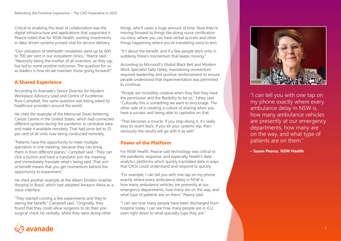Critical to enabling this level of collaboration was the digital infrastructure and applications that supported it. Pearce noted that for NSW Health, existing investments in data-driven systems proved vital for service delivery.

"Our utilisation of telehealth modalities went up by 600 to 700 per cent in our outpatient clinics," Pearce said. "Necessity being the mother of all invention, as they say, has led to some positive outcomes. The question for us as leaders is how do we maintain those going forward?"

# **A Shared Experience**

According to Avanade's Senior Director for Modern Workplace Advisory Lead and Centre of Excellence, Ross Campbell, this same question was being asked by healthcare providers around the world.

He cited the example of the Memorial Sloan Kettering Cancer Centre in the United States, which had connected different systems during the pandemic to centralise data and make it available remotely. That had since led to 25 per cent of all visits now being conducted remotely.

"Patients have the opportunity to meet multiple specialists in one meeting, because they can bring them in from different places," Campbell said. "They can click a button and have a translator join the meeting and immediately translate what's being said. That sort of benefit means that you get momentum behind the opportunity to experiment."

He cited another example at the Albert Einstein Israelite Hospital in Brazil, which had adopted Amazon Alexa as a voice interface.

"They started running a few experiments and they're seeing the benefit," Campbell said. "Originally, they found that they could allow surgeons to do their presurgical check list verbally, whilst they were doing other things, which saves a huge amount of time. Now they're moving forward to things like doing nurse certification via voice, where you can have verbal quizzes and other things happening where you're translating voice to text.

"It's about the benefit, and if a few people latch onto it, suddenly there's momentum that keeps moving."

According to Microsoft's Global Black Belt and Modern Work Specialist Sally Fahey, maintaining momentum required leadership and positive reinforcement to ensure people understood that experimentation was permitted to continue.

"People are incredibly creative when they feel they have the permission and the flexibility to be so," Fahey said. "Culturally this is something we want to encourage. The other side of is creating a culture of sharing when you have a success and being able to capitalise on that.

"That becomes a muscle. If you stop doing it, it's really easy to revert back. If you let your systems slip, then obviously the results will go with it as well."

## **Power of the Platform**

For NSW Health, Pearce said technology was critical to the pandemic response, and especially Health's data analytics platforms which quickly translated data in ways that CXOs could understand and respond to quickly.

"For example, I can tell you with one tap on my phone exactly where every ambulance delay in NSW is, how many ambulance vehicles are presently at our emergency departments, how many are on the way, and what type of patients are on them," Pearce said.

"I can see how many people have been discharged from hospital today, I can see how many people are in ICU, even right down to what specialty type they are."



"I can tell you with one tap on my phone exactly where every ambulance delay in NSW is, how many ambulance vehicles are presently at our emergency departments, how many are on the way, and what type of patients are on them."

**– Susan Pearce, NSW Health**

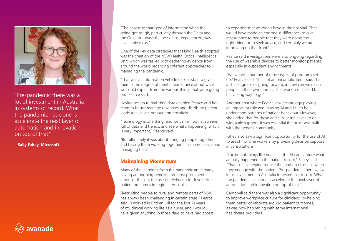

"Pre-pandemic there was a lot of investment in Australia in systems of record. What the pandemic has done is accelerate the next layer of automation and innovation on top of that."

**– Sally Fahey, Microsoft**



"The access to that type of information when the going got tough, particularly through the Delta and the Omicron phase that we've just experienced, was invaluable to us."

One of the key data strategies that NSW Health adopted was the creation of the NSW Health Critical Intelligence Unit, which was tasked with gathering evidence from around the world regarding different approaches to managing the pandemic.

"That was an information vehicle for our staff to give them some degree of mental reassurance about what we could expect from the various things that were going on," Pearce said.

Having access to real-time data enabled Pearce and her team to better manage resources and distribute patient loads to alleviate pressure on hospitals.

"Technology is one thing, and we can all look at screens full of data and trends, and see what's happening, which is very important," Pearce said.

"But ultimately it was about bringing people together and having them working together in a shared space and managing that."

### **Maintaining Momentum**

Many of the learnings from the pandemic are already having an ongoing benefit, and most prominent amongst these is the use of telehealth to drive better patient outcomes in regional Australia.

"Recruiting people to rural and remote parts of NSW has always been challenging in certain areas," Pearce said. "I worked in Broken Hill for the first 10 years of my clinical working life as a nurse, and I would have given anything in those days to have had access to expertise that we didn't have in the hospital. That would have made an enormous difference, to give reassurance to people that they were doing the right thing, or to seek advice, and certainly we are improving on that front."

Pearce said investigations were also ongoing regarding the use of wearable devices to better monitor patients, especially in outpatient environments.

"We've got a number of those types of programs set up," Pearce said. "It is not an uncomplicated issue. That's a challenge for us going forward, in how can we reach people in their own homes. That work has started but has a long way to go."

Another area where Pearce saw technology playing an important role was in using AI and ML to help understand patterns of patient behaviour. However, she added that for these and similar initiatives to gain widescale support, it was essential that trust was built with the general community.

Fahey also saw a significant opportunity for the use of AI to assist frontline workers by providing decision support in consultations.

"Looking at things like nuance – the AI can capture what actually happened in the patient record," Fahey said. "That's really helping reduce the load on clinicians when they engage with the patient. Pre-pandemic there was a lot of investment in Australia in systems of record. What the pandemic has done is accelerate the next layer of automation and innovation on top of that."

Campbell said there was also a significant opportunity to improve workplace culture for clinicians, by helping them better collaborate around patient outcomes, as was now happening with some international healthcare providers.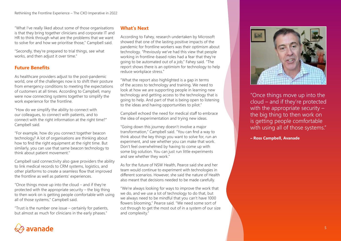"What I've really liked about some of those organisations is that they bring together clinicians and corporate IT and HR to think through what are the problems that we want to solve for and how we prioritise those," Campbell said.

"Secondly, they're prepared to trial things, see what works, and then adjust it over time."

# **Future Benefits**

As healthcare providers adjust to the post-pandemic world, one of the challenges now is to shift their posture from emergency conditions to meeting the expectations of customers at all times. According to Campbell, many were now connecting systems together to simplify the work experience for the frontline.

"How do we simplify the ability to connect with our colleagues, to connect with patients, and to connect with the right information at the right time?" Campbell said.

"For example, how do you connect together beacon technology? A lot of organisations are thinking about how to find the right equipment at the right time. But similarly, you can use that same beacon technology to think about patient movement."

Campbell said connectivity also gave providers the ability to link medical records to CRM systems, logistics, and other platforms to create a seamless flow that improved the frontline as well as patients' experiences.

"Once things move up into the cloud – and if they're protected with the appropriate security – the big thing to then work on is getting people comfortable with using all of those systems," Campbell said.

"Trust is the number one issue – certainly for patients, but almost as much for clinicians in the early phases."

### **What's Next**

According to Fahey, research undertaken by Microsoft showed that one of the lasting positive impacts of the pandemic for frontline workers was their optimism about technology. "Previously we've had this view that people working in frontline-based roles had a fear that they're going to be automated out of a job," Fahey said. "The report shows there is an optimism for technology to help reduce workplace stress."

"What the report also highlighted is a gap in terms of the access to technology and training. We need to look at how we are supporting people in learning new technology and getting access to the technology that is going to help. And part of that is being open to listening to the ideas and having opportunities to pilot."

Campbell echoed the need for medical staff to embrace the idea of experimentation and trying new ideas.

"Going down this journey doesn't involve a major transformation," Campbell said. "You can find a way to think about the key things you want to solve for, run an experiment, and see whether you can make that work. Don't feel overwhelmed by having to come up with some big solution. You can just run little experiments and see whether they work."

As for the future of NSW Health, Pearce said she and her team would continue to experiment with technologies in different scenarios. However, she said the nature of Health also meant that decisions needed to be made carefully.

"We're always looking for ways to improve the work that we do, and we use a lot of technology to do that, but we always need to be mindful that you can't have 1000 flowers blooming," Pearce said. "We need some sort of cut through to get the most out of in a system of our size and complexity."



"Once things move up into the cloud – and if they're protected with the appropriate security the big thing to then work on is getting people comfortable with using all of those systems."

**– Ross Campbell, Avanade**

# avanade